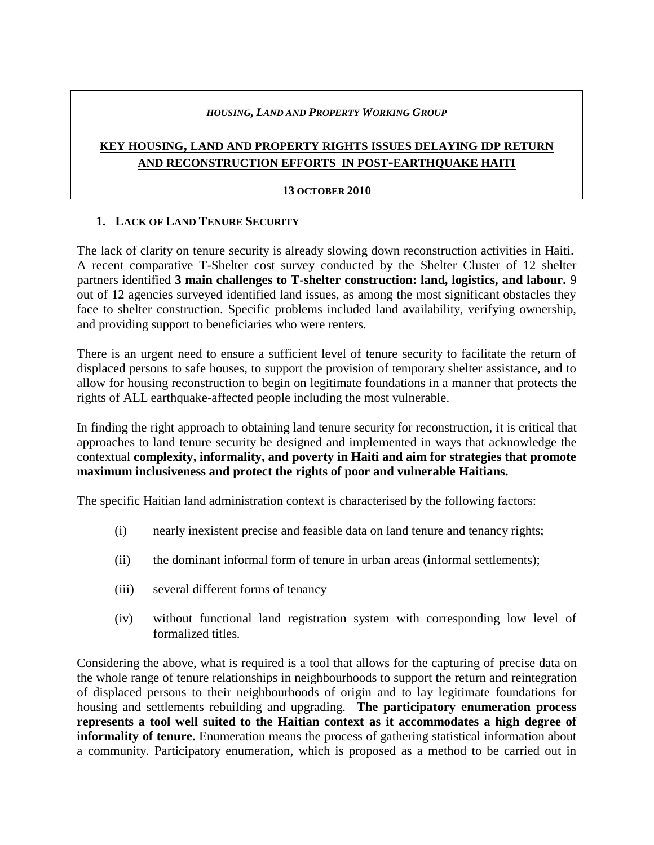#### *HOUSING, LAND AND PROPERTY WORKING GROUP*

# **KEY HOUSING, LAND AND PROPERTY RIGHTS ISSUES DELAYING IDP RETURN AND RECONSTRUCTION EFFORTS IN POST-EARTHQUAKE HAITI**

#### **13 OCTOBER 2010**

# **1. LACK OF LAND TENURE SECURITY**

The lack of clarity on tenure security is already slowing down reconstruction activities in Haiti. A recent comparative T-Shelter cost survey conducted by the Shelter Cluster of 12 shelter partners identified **3 main challenges to T-shelter construction: land, logistics, and labour.** 9 out of 12 agencies surveyed identified land issues, as among the most significant obstacles they face to shelter construction. Specific problems included land availability, verifying ownership, and providing support to beneficiaries who were renters.

There is an urgent need to ensure a sufficient level of tenure security to facilitate the return of displaced persons to safe houses, to support the provision of temporary shelter assistance, and to allow for housing reconstruction to begin on legitimate foundations in a manner that protects the rights of ALL earthquake-affected people including the most vulnerable.

In finding the right approach to obtaining land tenure security for reconstruction, it is critical that approaches to land tenure security be designed and implemented in ways that acknowledge the contextual **complexity, informality, and poverty in Haiti and aim for strategies that promote maximum inclusiveness and protect the rights of poor and vulnerable Haitians.** 

The specific Haitian land administration context is characterised by the following factors:

- (i) nearly inexistent precise and feasible data on land tenure and tenancy rights;
- (ii) the dominant informal form of tenure in urban areas (informal settlements);
- (iii) several different forms of tenancy
- (iv) without functional land registration system with corresponding low level of formalized titles.

Considering the above, what is required is a tool that allows for the capturing of precise data on the whole range of tenure relationships in neighbourhoods to support the return and reintegration of displaced persons to their neighbourhoods of origin and to lay legitimate foundations for housing and settlements rebuilding and upgrading. **The participatory enumeration process represents a tool well suited to the Haitian context as it accommodates a high degree of informality of tenure.** Enumeration means the process of gathering statistical information about a community. Participatory enumeration, which is proposed as a method to be carried out in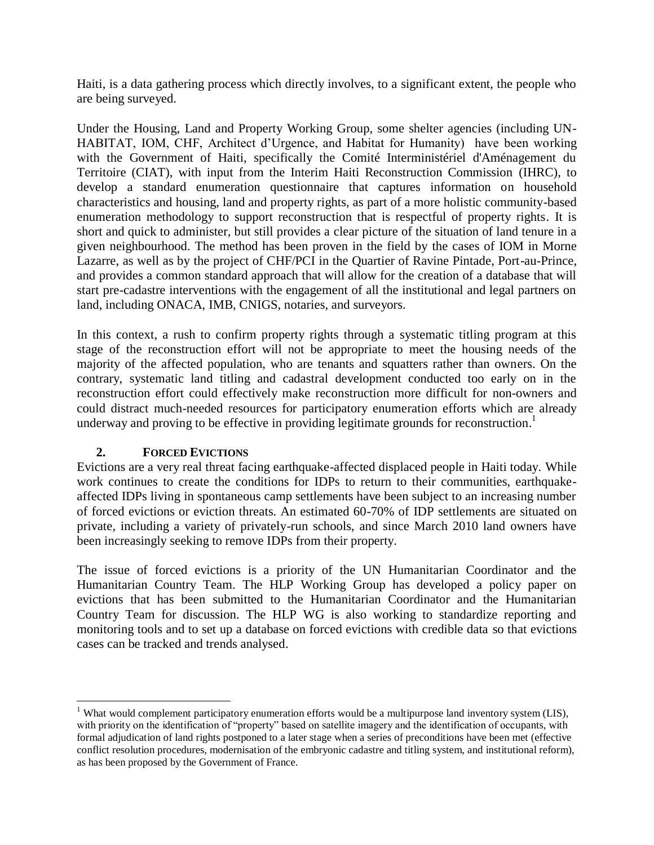Haiti, is a data gathering process which directly involves, to a significant extent, the people who are being surveyed.

Under the Housing, Land and Property Working Group, some shelter agencies (including UN-HABITAT, IOM, CHF, Architect d'Urgence, and Habitat for Humanity) have been working with the Government of Haiti, specifically the Comité Interministériel d'Aménagement du Territoire (CIAT), with input from the Interim Haiti Reconstruction Commission (IHRC), to develop a standard enumeration questionnaire that captures information on household characteristics and housing, land and property rights, as part of a more holistic community-based enumeration methodology to support reconstruction that is respectful of property rights. It is short and quick to administer, but still provides a clear picture of the situation of land tenure in a given neighbourhood. The method has been proven in the field by the cases of IOM in Morne Lazarre, as well as by the project of CHF/PCI in the Quartier of Ravine Pintade, Port-au-Prince, and provides a common standard approach that will allow for the creation of a database that will start pre-cadastre interventions with the engagement of all the institutional and legal partners on land, including ONACA, IMB, CNIGS, notaries, and surveyors.

In this context, a rush to confirm property rights through a systematic titling program at this stage of the reconstruction effort will not be appropriate to meet the housing needs of the majority of the affected population, who are tenants and squatters rather than owners. On the contrary, systematic land titling and cadastral development conducted too early on in the reconstruction effort could effectively make reconstruction more difficult for non-owners and could distract much-needed resources for participatory enumeration efforts which are already underway and proving to be effective in providing legitimate grounds for reconstruction.<sup>1</sup>

# **2. FORCED EVICTIONS**

 $\overline{a}$ 

Evictions are a very real threat facing earthquake-affected displaced people in Haiti today. While work continues to create the conditions for IDPs to return to their communities, earthquakeaffected IDPs living in spontaneous camp settlements have been subject to an increasing number of forced evictions or eviction threats. An estimated 60-70% of IDP settlements are situated on private, including a variety of privately-run schools, and since March 2010 land owners have been increasingly seeking to remove IDPs from their property.

The issue of forced evictions is a priority of the UN Humanitarian Coordinator and the Humanitarian Country Team. The HLP Working Group has developed a policy paper on evictions that has been submitted to the Humanitarian Coordinator and the Humanitarian Country Team for discussion. The HLP WG is also working to standardize reporting and monitoring tools and to set up a database on forced evictions with credible data so that evictions cases can be tracked and trends analysed.

<sup>&</sup>lt;sup>1</sup> What would complement participatory enumeration efforts would be a multipurpose land inventory system (LIS), with priority on the identification of "property" based on satellite imagery and the identification of occupants, with formal adjudication of land rights postponed to a later stage when a series of preconditions have been met (effective conflict resolution procedures, modernisation of the embryonic cadastre and titling system, and institutional reform), as has been proposed by the Government of France.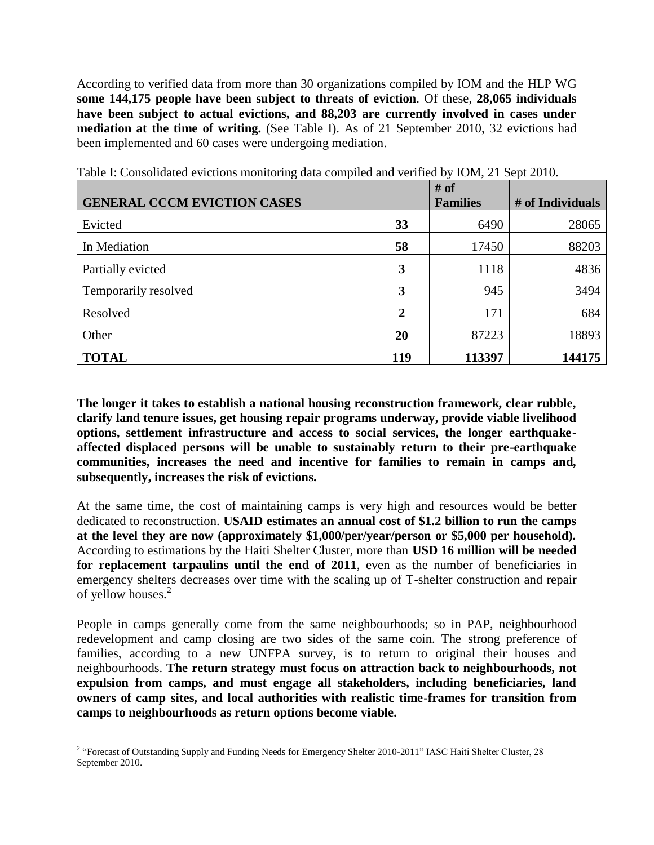According to verified data from more than 30 organizations compiled by IOM and the HLP WG **some 144,175 people have been subject to threats of eviction**. Of these, **28,065 individuals have been subject to actual evictions, and 88,203 are currently involved in cases under mediation at the time of writing.** (See Table I). As of 21 September 2010, 32 evictions had been implemented and 60 cases were undergoing mediation.

|                                    |     | # of            |                  |
|------------------------------------|-----|-----------------|------------------|
| <b>GENERAL CCCM EVICTION CASES</b> |     | <b>Families</b> | # of Individuals |
| Evicted                            | 33  | 6490            | 28065            |
| In Mediation                       | 58  | 17450           | 88203            |
| Partially evicted                  | 3   | 1118            | 4836             |
| Temporarily resolved               | 3   | 945             | 3494             |
| Resolved                           | 2   | 171             | 684              |
| Other                              | 20  | 87223           | 18893            |
| <b>TOTAL</b>                       | 119 | 113397          | 144175           |

Table I: Consolidated evictions monitoring data compiled and verified by IOM, 21 Sept 2010.

**The longer it takes to establish a national housing reconstruction framework, clear rubble, clarify land tenure issues, get housing repair programs underway, provide viable livelihood options, settlement infrastructure and access to social services, the longer earthquakeaffected displaced persons will be unable to sustainably return to their pre-earthquake communities, increases the need and incentive for families to remain in camps and, subsequently, increases the risk of evictions.**

At the same time, the cost of maintaining camps is very high and resources would be better dedicated to reconstruction. **USAID estimates an annual cost of \$1.2 billion to run the camps at the level they are now (approximately \$1,000/per/year/person or \$5,000 per household).** According to estimations by the Haiti Shelter Cluster, more than **USD 16 million will be needed for replacement tarpaulins until the end of 2011**, even as the number of beneficiaries in emergency shelters decreases over time with the scaling up of T-shelter construction and repair of yellow houses.<sup>2</sup>

People in camps generally come from the same neighbourhoods; so in PAP, neighbourhood redevelopment and camp closing are two sides of the same coin. The strong preference of families, according to a new UNFPA survey, is to return to original their houses and neighbourhoods. **The return strategy must focus on attraction back to neighbourhoods, not expulsion from camps, and must engage all stakeholders, including beneficiaries, land owners of camp sites, and local authorities with realistic time-frames for transition from camps to neighbourhoods as return options become viable.**

<sup>&</sup>lt;sup>2</sup> "Forecast of Outstanding Supply and Funding Needs for Emergency Shelter 2010-2011" IASC Haiti Shelter Cluster, 28 September 2010.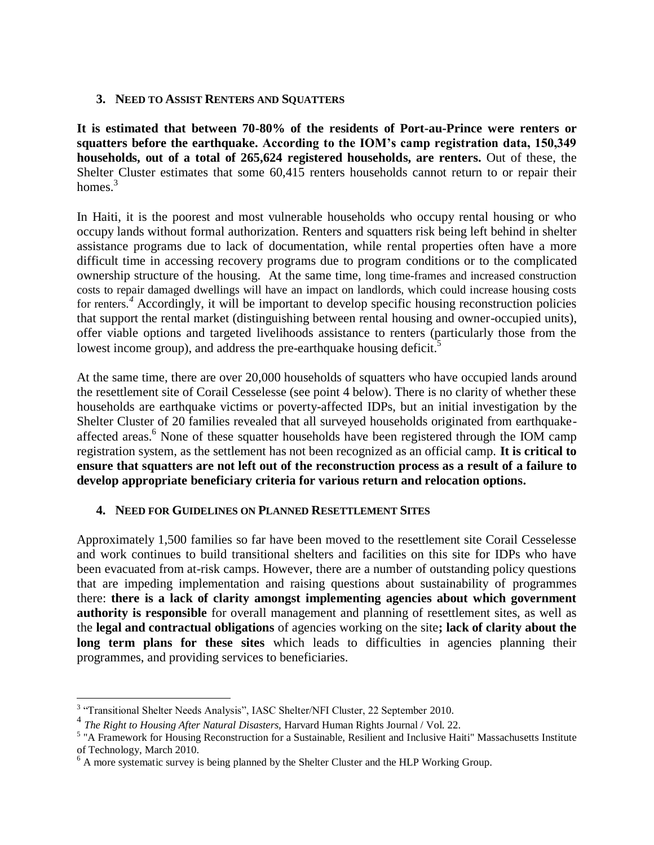### **3. NEED TO ASSIST RENTERS AND SQUATTERS**

**It is estimated that between 70-80% of the residents of Port-au-Prince were renters or squatters before the earthquake. According to the IOM's camp registration data, 150,349 households, out of a total of 265,624 registered households, are renters.** Out of these, the Shelter Cluster estimates that some 60,415 renters households cannot return to or repair their homes $<sup>3</sup>$ </sup>

In Haiti, it is the poorest and most vulnerable households who occupy rental housing or who occupy lands without formal authorization. Renters and squatters risk being left behind in shelter assistance programs due to lack of documentation, while rental properties often have a more difficult time in accessing recovery programs due to program conditions or to the complicated ownership structure of the housing. At the same time, long time-frames and increased construction costs to repair damaged dwellings will have an impact on landlords, which could increase housing costs for renters.*<sup>4</sup>* Accordingly, it will be important to develop specific housing reconstruction policies that support the rental market (distinguishing between rental housing and owner-occupied units), offer viable options and targeted livelihoods assistance to renters (particularly those from the lowest income group), and address the pre-earthquake housing deficit.<sup>5</sup>

At the same time, there are over 20,000 households of squatters who have occupied lands around the resettlement site of Corail Cesselesse (see point 4 below). There is no clarity of whether these households are earthquake victims or poverty-affected IDPs, but an initial investigation by the Shelter Cluster of 20 families revealed that all surveyed households originated from earthquakeaffected areas.<sup>6</sup> None of these squatter households have been registered through the IOM camp registration system, as the settlement has not been recognized as an official camp. **It is critical to ensure that squatters are not left out of the reconstruction process as a result of a failure to develop appropriate beneficiary criteria for various return and relocation options.**

# **4. NEED FOR GUIDELINES ON PLANNED RESETTLEMENT SITES**

Approximately 1,500 families so far have been moved to the resettlement site Corail Cesselesse and work continues to build transitional shelters and facilities on this site for IDPs who have been evacuated from at-risk camps. However, there are a number of outstanding policy questions that are impeding implementation and raising questions about sustainability of programmes there: **there is a lack of clarity amongst implementing agencies about which government authority is responsible** for overall management and planning of resettlement sites, as well as the **legal and contractual obligations** of agencies working on the site**; lack of clarity about the long term plans for these sites** which leads to difficulties in agencies planning their programmes, and providing services to beneficiaries.

 $\overline{a}$ 

<sup>&</sup>lt;sup>3</sup> "Transitional Shelter Needs Analysis", IASC Shelter/NFI Cluster, 22 September 2010.

<sup>4</sup> *The Right to Housing After Natural Disasters,* Harvard Human Rights Journal / Vol. 22.

<sup>&</sup>lt;sup>5</sup> "A Framework for Housing Reconstruction for a Sustainable, Resilient and Inclusive Haiti" Massachusetts Institute of Technology, March 2010.

<sup>&</sup>lt;sup>6</sup> A more systematic survey is being planned by the Shelter Cluster and the HLP Working Group.